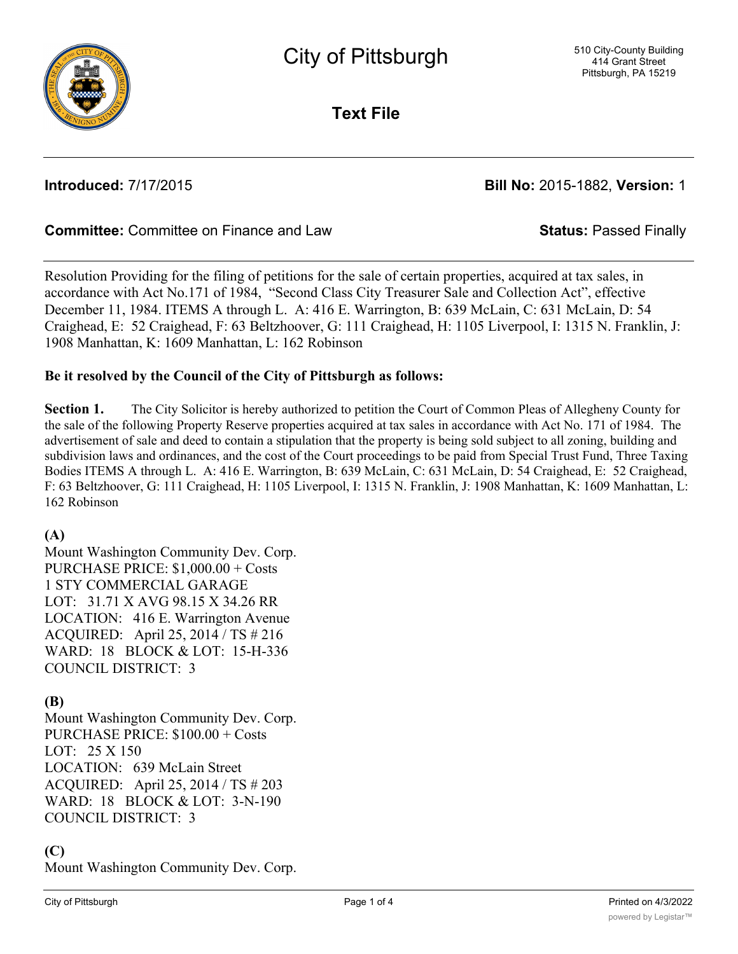

**Text File**

**Introduced:** 7/17/2015 **Bill No:** 2015-1882, **Version:** 1

# **Committee:** Committee on Finance and Law **Status:** Passed Finally

Resolution Providing for the filing of petitions for the sale of certain properties, acquired at tax sales, in accordance with Act No.171 of 1984, "Second Class City Treasurer Sale and Collection Act", effective December 11, 1984. ITEMS A through L. A: 416 E. Warrington, B: 639 McLain, C: 631 McLain, D: 54 Craighead, E: 52 Craighead, F: 63 Beltzhoover, G: 111 Craighead, H: 1105 Liverpool, I: 1315 N. Franklin, J: 1908 Manhattan, K: 1609 Manhattan, L: 162 Robinson

### **Be it resolved by the Council of the City of Pittsburgh as follows:**

**Section 1.** The City Solicitor is hereby authorized to petition the Court of Common Pleas of Allegheny County for the sale of the following Property Reserve properties acquired at tax sales in accordance with Act No. 171 of 1984. The advertisement of sale and deed to contain a stipulation that the property is being sold subject to all zoning, building and subdivision laws and ordinances, and the cost of the Court proceedings to be paid from Special Trust Fund, Three Taxing Bodies ITEMS A through L. A: 416 E. Warrington, B: 639 McLain, C: 631 McLain, D: 54 Craighead, E: 52 Craighead, F: 63 Beltzhoover, G: 111 Craighead, H: 1105 Liverpool, I: 1315 N. Franklin, J: 1908 Manhattan, K: 1609 Manhattan, L: 162 Robinson

### **(A)**

Mount Washington Community Dev. Corp. PURCHASE PRICE: \$1,000.00 + Costs 1 STY COMMERCIAL GARAGE LOT: 31.71 X AVG 98.15 X 34.26 RR LOCATION: 416 E. Warrington Avenue ACQUIRED: April 25, 2014 / TS # 216 WARD: 18 BLOCK & LOT: 15-H-336 COUNCIL DISTRICT: 3

### **(B)**

Mount Washington Community Dev. Corp. PURCHASE PRICE: \$100.00 + Costs LOT: 25 X 150 LOCATION: 639 McLain Street ACQUIRED: April 25, 2014 / TS # 203 WARD: 18 BLOCK & LOT: 3-N-190 COUNCIL DISTRICT: 3

# **(C)**

Mount Washington Community Dev. Corp.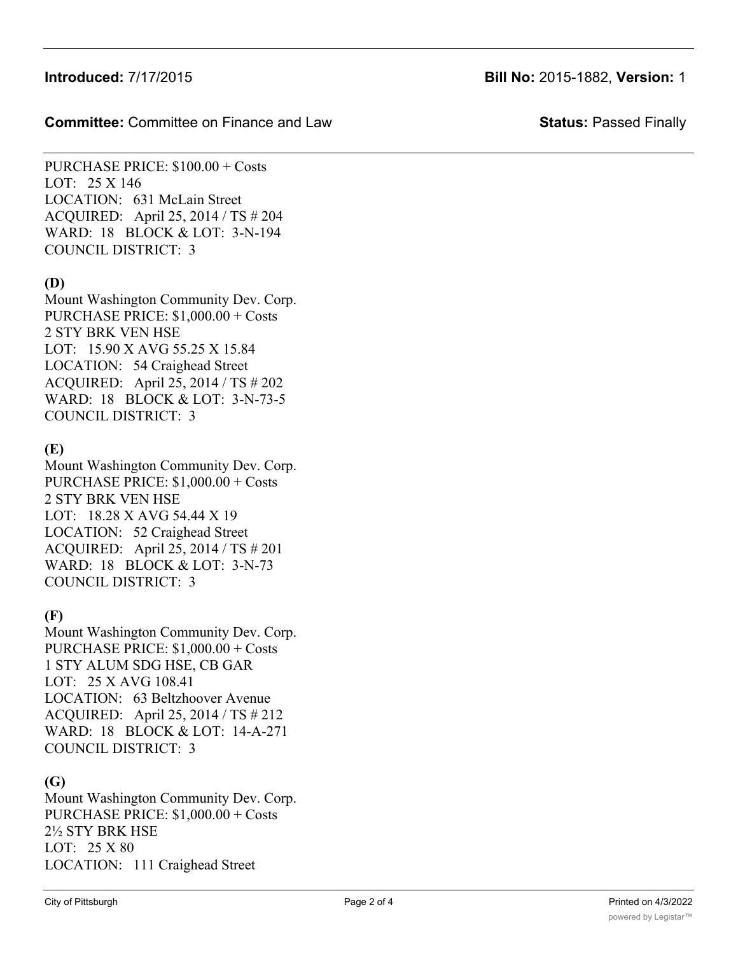### **Committee:** Committee on Finance and Law **Status:** Passed Finally

PURCHASE PRICE: \$100.00 + Costs LOT: 25 X 146 LOCATION: 631 McLain Street ACQUIRED: April 25, 2014 / TS # 204 WARD: 18 BLOCK & LOT: 3-N-194 COUNCIL DISTRICT: 3

# **(D)**

Mount Washington Community Dev. Corp. PURCHASE PRICE: \$1,000.00 + Costs 2 STY BRK VEN HSE LOT: 15.90 X AVG 55.25 X 15.84 LOCATION: 54 Craighead Street ACQUIRED: April 25, 2014 / TS # 202 WARD: 18 BLOCK & LOT: 3-N-73-5 COUNCIL DISTRICT: 3

## **(E)**

Mount Washington Community Dev. Corp. PURCHASE PRICE: \$1,000.00 + Costs 2 STY BRK VEN HSE LOT: 18.28 X AVG 54.44 X 19 LOCATION: 52 Craighead Street ACQUIRED: April 25, 2014 / TS # 201 WARD: 18 BLOCK & LOT: 3-N-73 COUNCIL DISTRICT: 3

# **(F)**

Mount Washington Community Dev. Corp. PURCHASE PRICE: \$1,000.00 + Costs 1 STY ALUM SDG HSE, CB GAR LOT: 25 X AVG 108.41 LOCATION: 63 Beltzhoover Avenue ACQUIRED: April 25, 2014 / TS # 212 WARD: 18 BLOCK & LOT: 14-A-271 COUNCIL DISTRICT: 3

# **(G)**

Mount Washington Community Dev. Corp. PURCHASE PRICE: \$1,000.00 + Costs 2½ STY BRK HSE LOT: 25 X 80 LOCATION: 111 Craighead Street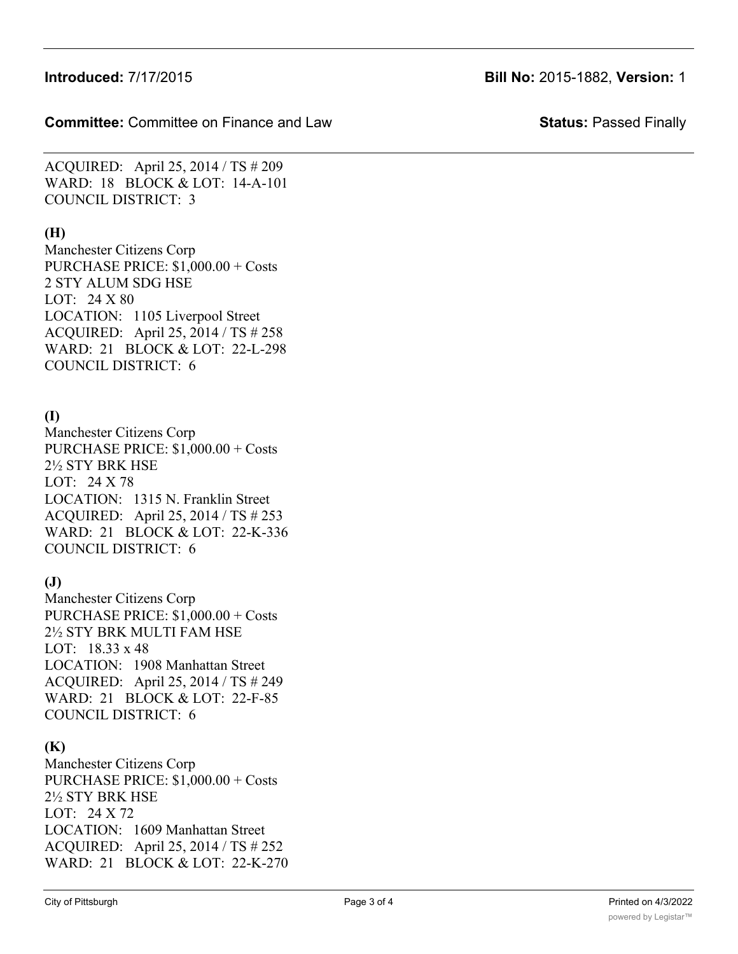**Committee:** Committee on Finance and Law **Status:** Passed Finally

ACQUIRED: April 25, 2014 / TS # 209 WARD: 18 BLOCK & LOT: 14-A-101 COUNCIL DISTRICT: 3

# **(H)**

Manchester Citizens Corp PURCHASE PRICE: \$1,000.00 + Costs 2 STY ALUM SDG HSE LOT: 24 X 80 LOCATION: 1105 Liverpool Street ACQUIRED: April 25, 2014 / TS # 258 WARD: 21 BLOCK & LOT: 22-L-298 COUNCIL DISTRICT: 6

# **(I)**

Manchester Citizens Corp PURCHASE PRICE: \$1,000.00 + Costs 2½ STY BRK HSE LOT: 24 X 78 LOCATION: 1315 N. Franklin Street ACQUIRED: April 25, 2014 / TS # 253 WARD: 21 BLOCK & LOT: 22-K-336 COUNCIL DISTRICT: 6

# **(J)**

Manchester Citizens Corp PURCHASE PRICE: \$1,000.00 + Costs 2½ STY BRK MULTI FAM HSE LOT: 18.33 x 48 LOCATION: 1908 Manhattan Street ACQUIRED: April 25, 2014 / TS # 249 WARD: 21 BLOCK & LOT: 22-F-85 COUNCIL DISTRICT: 6

# **(K)**

Manchester Citizens Corp PURCHASE PRICE: \$1,000.00 + Costs 2½ STY BRK HSE LOT: 24 X 72 LOCATION: 1609 Manhattan Street ACQUIRED: April 25, 2014 / TS # 252 WARD: 21 BLOCK & LOT: 22-K-270